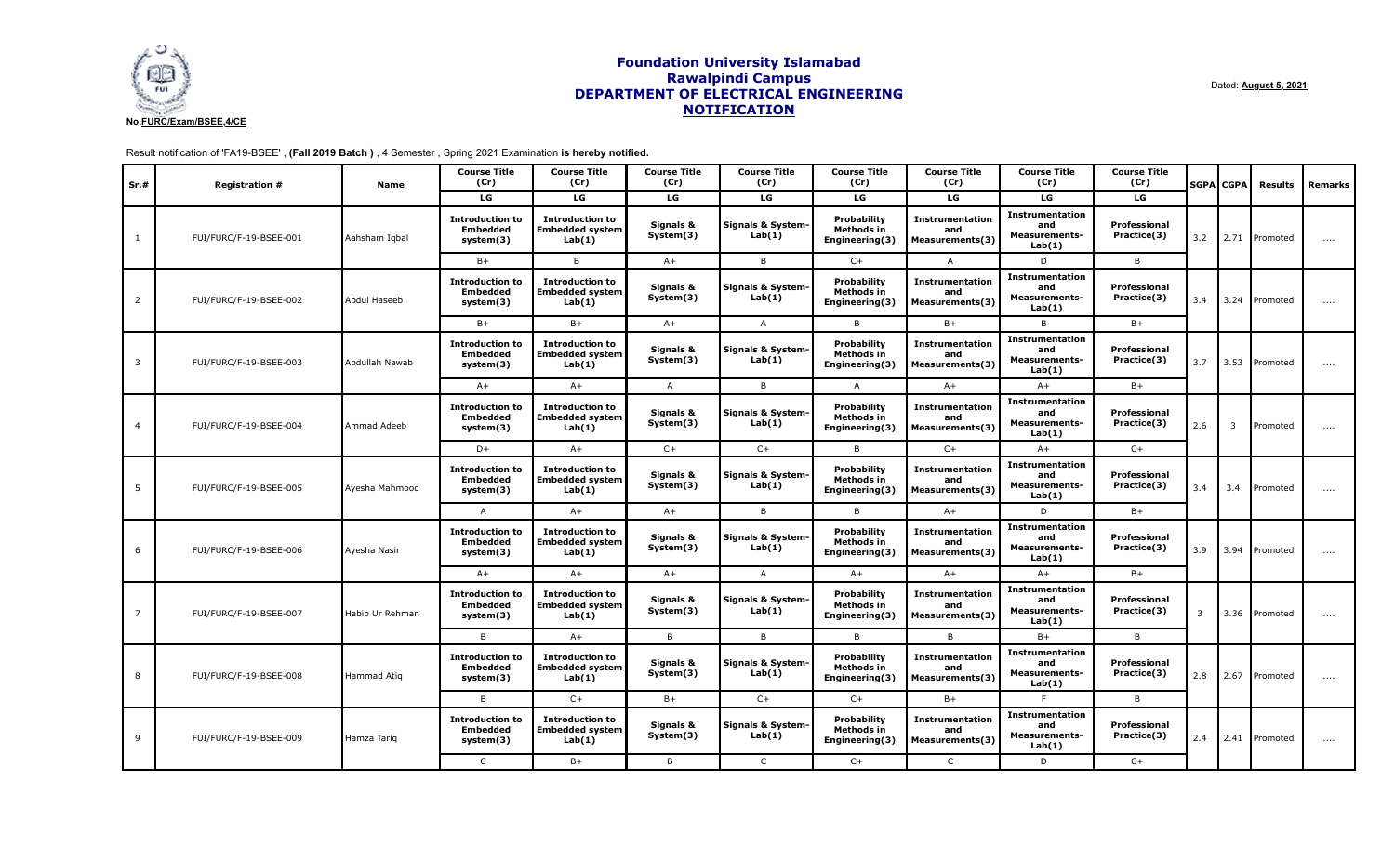

Dated: **August 5, 2021**

Result notification of 'FA19-BSEE' , **(Fall 2019 Batch )** , 4 Semester , Spring 2021 Examination **is hereby notified.**

| Sr.#           | <b>Registration #</b>  | <b>Name</b>     | <b>Course Title</b><br>(Cr)                            | <b>Course Title</b><br>(Cr)                                | <b>Course Title</b><br>(Cr) | <b>Course Title</b><br>(Cr) | <b>Course Title</b><br>(Cr)                        | <b>Course Title</b><br>(Cr)                             | <b>Course Title</b><br>(Cr)                                     | <b>Course Title</b><br>(Cr) |                | <b>SGPA CGPA</b> | <b>Results</b>  | Remarks  |
|----------------|------------------------|-----------------|--------------------------------------------------------|------------------------------------------------------------|-----------------------------|-----------------------------|----------------------------------------------------|---------------------------------------------------------|-----------------------------------------------------------------|-----------------------------|----------------|------------------|-----------------|----------|
|                |                        |                 | LG                                                     | LG                                                         | LG                          | LG                          | LG                                                 | LG                                                      | LG                                                              | <b>LG</b>                   |                |                  |                 |          |
| -1             | FUI/FURC/F-19-BSEE-001 | Aahsham Igbal   | <b>Introduction to</b><br><b>Embedded</b><br>system(3) | <b>Introduction to</b><br><b>Embedded system</b><br>Lab(1) | Signals &<br>System(3)      | Signals & System-<br>Lab(1) | Probability<br><b>Methods in</b><br>Engineering(3) | <b>Instrumentation</b><br>and<br>Measurements(3)        | <b>Instrumentation</b><br>and<br><b>Measurements-</b><br>Lab(1) | Professional<br>Practice(3) | 3.2            |                  | 2.71 Promoted   | $\cdots$ |
|                |                        |                 | $B+$                                                   | B                                                          | $A+$                        | B                           | $C+$                                               | $\mathsf{A}$                                            | D                                                               | B                           |                |                  |                 |          |
| $\overline{2}$ | FUI/FURC/F-19-BSEE-002 | Abdul Haseeb    | <b>Introduction to</b><br><b>Embedded</b><br>system(3) | <b>Introduction to</b><br><b>Embedded system</b><br>Lab(1) | Signals &<br>System(3)      | Signals & System-<br>Lab(1) | Probability<br>Methods in<br>Engineering(3)        | <b>Instrumentation</b><br>and<br>Measurements(3)        | <b>Instrumentation</b><br>and<br><b>Measurements-</b><br>Lab(1) | Professional<br>Practice(3) | 3.4            |                  | 3.24   Promoted | $\cdots$ |
|                |                        |                 | $B+$                                                   | $B+$                                                       | $A+$                        | $\mathsf{A}$                | B                                                  | $B+$                                                    | B                                                               | $B+$                        |                |                  |                 |          |
| 3              | FUI/FURC/F-19-BSEE-003 | Abdullah Nawab  | <b>Introduction to</b><br><b>Embedded</b><br>system(3) | <b>Introduction to</b><br><b>Embedded system</b><br>Lab(1) | Signals &<br>System(3)      | Signals & System-<br>Lab(1) | <b>Probability</b><br>Methods in<br>Engineering(3) | <b>Instrumentation</b><br>and<br><b>Measurements(3)</b> | <b>Instrumentation</b><br>and<br><b>Measurements-</b><br>Lab(1) | Professional<br>Practice(3) | 3.7            |                  | 3.53 Promoted   | $\cdots$ |
|                |                        |                 | $A+$                                                   | $A+$                                                       | $\overline{A}$              | B                           | $\overline{A}$                                     | $A+$                                                    | $A+$                                                            | $B+$                        |                |                  |                 |          |
| $\overline{a}$ | FUI/FURC/F-19-BSEE-004 | Ammad Adeeb     | <b>Introduction to</b><br><b>Embedded</b><br>system(3) | <b>Introduction to</b><br><b>Embedded system</b><br>Lab(1) | Signals &<br>System(3)      | Signals & System-<br>Lab(1) | Probability<br>Methods in<br>Engineering(3)        | <b>Instrumentation</b><br>and<br>Measurements(3)        | Instrumentation<br>and<br><b>Measurements-</b><br>Lab(1)        | Professional<br>Practice(3) | 2.6            | $\overline{3}$   | Promoted        | $\cdots$ |
|                |                        |                 | $D+$                                                   | $A+$                                                       | $C+$                        | $C+$                        | B                                                  | $C+$                                                    | $A+$                                                            | $C+$                        |                |                  |                 |          |
| 5              | FUI/FURC/F-19-BSEE-005 | Ayesha Mahmood  | <b>Introduction to</b><br><b>Embedded</b><br>system(3) | <b>Introduction to</b><br><b>Embedded system</b><br>Lab(1) | Signals &<br>System(3)      | Signals & System-<br>Lab(1) | Probability<br><b>Methods in</b><br>Engineering(3) | <b>Instrumentation</b><br>and<br>Measurements(3)        | <b>Instrumentation</b><br>and<br><b>Measurements-</b><br>Lab(1) | Professional<br>Practice(3) | 3.4            | 3.4              | Promoted        | $\cdots$ |
|                |                        |                 | A                                                      | $A+$                                                       | $A+$                        | B                           | B                                                  | $A+$                                                    | D                                                               | $B+$                        |                |                  |                 |          |
| 6              | FUI/FURC/F-19-BSEE-006 | Ayesha Nasir    | <b>Introduction to</b><br>Embedded<br>system(3)        | <b>Introduction to</b><br><b>Embedded system</b><br>Lab(1) | Signals &<br>System(3)      | Signals & System-<br>Lab(1) | Probability<br>Methods in<br>Engineering(3)        | <b>Instrumentation</b><br>and<br>Measurements(3)        | <b>Instrumentation</b><br>and<br><b>Measurements-</b><br>Lab(1) | Professional<br>Practice(3) | 3.9            |                  | 3.94 Promoted   | $\cdots$ |
|                |                        |                 | $A+$                                                   | $A+$                                                       | $A+$                        | $\overline{A}$              | $A+$                                               | $A+$                                                    | $A+$                                                            | $B+$                        |                |                  |                 |          |
| 7              | FUI/FURC/F-19-BSEE-007 | Habib Ur Rehman | <b>Introduction to</b><br><b>Embedded</b><br>system(3) | <b>Introduction to</b><br><b>Embedded system</b><br>Lab(1) | Signals &<br>System(3)      | Signals & System-<br>Lab(1) | Probability<br>Methods in<br>Engineering(3)        | <b>Instrumentation</b><br>and<br>Measurements(3)        | <b>Instrumentation</b><br>and<br><b>Measurements-</b><br>Lab(1) | Professional<br>Practice(3) | $\overline{3}$ |                  | 3.36 Promoted   | $\cdots$ |
|                |                        |                 | B                                                      | $A+$                                                       | B                           | B                           | B                                                  | B                                                       | $B+$                                                            | B                           |                |                  |                 |          |
| 8              | FUI/FURC/F-19-BSEE-008 | Hammad Atiq     | <b>Introduction to</b><br><b>Embedded</b><br>system(3) | <b>Introduction to</b><br><b>Embedded system</b><br>Lab(1) | Signals &<br>System(3)      | Signals & System-<br>Lab(1) | <b>Probability</b><br>Methods in<br>Engineering(3) | <b>Instrumentation</b><br>and<br>Measurements(3)        | Instrumentation<br>and<br><b>Measurements-</b><br>Lab(1)        | Professional<br>Practice(3) | 2.8            |                  | 2.67 Promoted   | $\cdots$ |
|                |                        |                 | B                                                      | $C+$                                                       | $B+$                        | $C+$                        | $C+$                                               | $B+$                                                    | F                                                               | B                           |                |                  |                 |          |
| 9              | FUI/FURC/F-19-BSEE-009 | Hamza Tariq     | <b>Introduction to</b><br><b>Embedded</b><br>system(3) | <b>Introduction to</b><br><b>Embedded system</b><br>Lab(1) | Signals &<br>System(3)      | Signals & System-<br>Lab(1) | Probability<br>Methods in<br>Engineering(3)        | <b>Instrumentation</b><br>and<br>Measurements(3)        | Instrumentation<br>and<br><b>Measurements-</b><br>Lab(1)        | Professional<br>Practice(3) | 2.4            |                  | 2.41 Promoted   | $\cdots$ |
|                |                        |                 | $\mathsf{C}$                                           | $B+$                                                       | B                           | $\mathsf{C}$                | $C+$                                               | $\mathsf{C}$                                            | D                                                               | $C+$                        |                |                  |                 |          |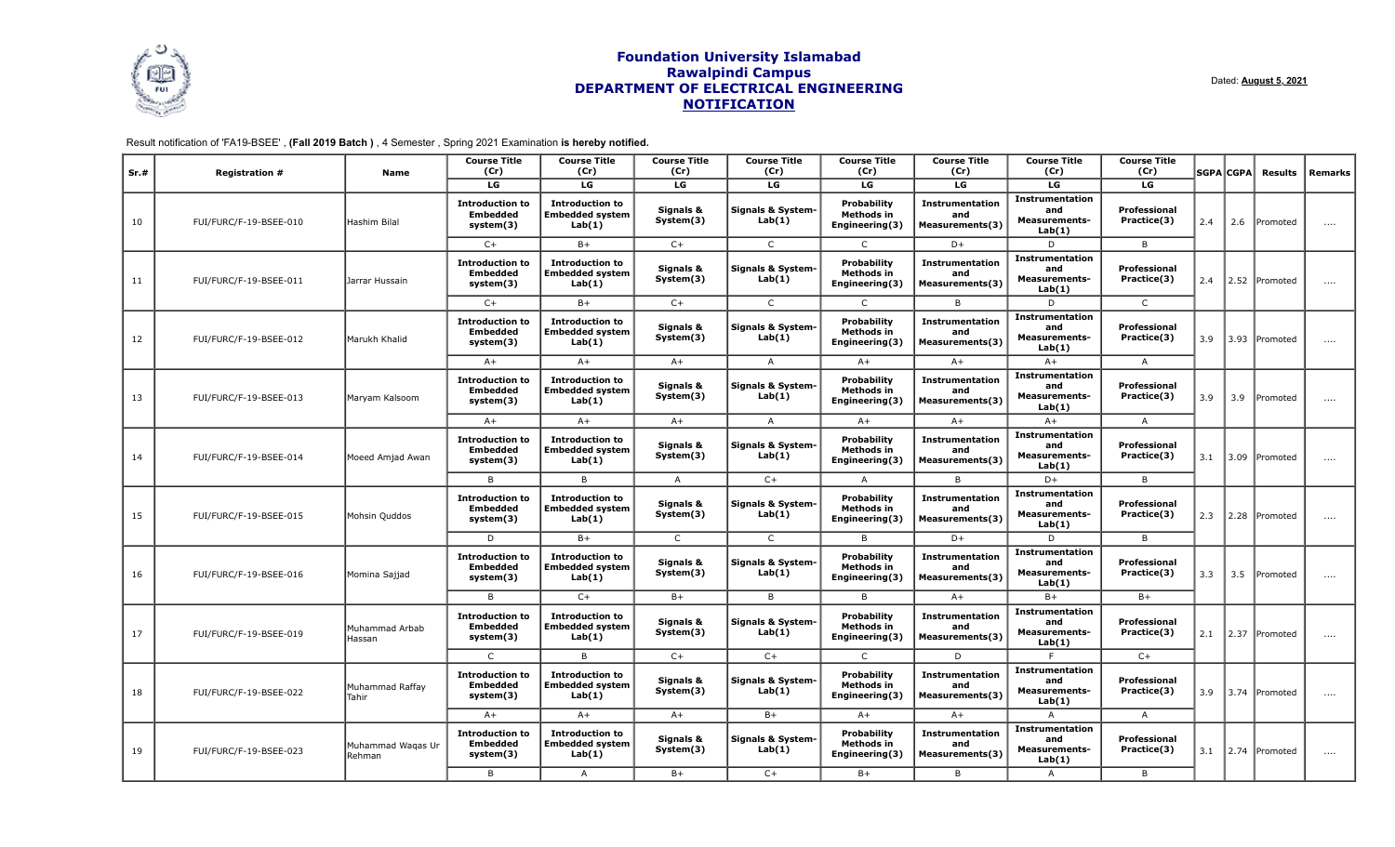

Dated: **August 5, 2021**

Result notification of 'FA19-BSEE' , **(Fall 2019 Batch )** , 4 Semester , Spring 2021 Examination **is hereby notified.**

| Sr.# | <b>Registration #</b>  | Name                        | <b>Course Title</b><br>(Cr)                            | <b>Course Title</b><br>(Cr)                                | <b>Course Title</b><br>(Cr) | <b>Course Title</b><br>(Cr)            | <b>Course Title</b><br>(Cr)                               | <b>Course Title</b><br>(Cr)                      | <b>Course Title</b><br>(Cr)                                     | <b>Course Title</b><br>(Cr) |                | <b>SGPA</b> CGPA   | Results         | Remarks  |  |  |
|------|------------------------|-----------------------------|--------------------------------------------------------|------------------------------------------------------------|-----------------------------|----------------------------------------|-----------------------------------------------------------|--------------------------------------------------|-----------------------------------------------------------------|-----------------------------|----------------|--------------------|-----------------|----------|--|--|
|      |                        |                             | LG                                                     | LG                                                         | LG                          | LG                                     | LG                                                        | LG                                               | LG                                                              | LG                          |                |                    |                 |          |  |  |
| 10   | FUI/FURC/F-19-BSEE-010 | Hashim Bilal                | <b>Introduction to</b><br><b>Embedded</b><br>system(3) | <b>Introduction to</b><br><b>Embedded system</b><br>Lab(1) | Signals &<br>System(3)      | <b>Signals &amp; System-</b><br>Lab(1) | <b>Probability</b><br>Methods in<br>Engineering(3)        | <b>Instrumentation</b><br>and<br>Measurements(3) | <b>Instrumentation</b><br>and<br><b>Measurements-</b><br>Lab(1) | Professional<br>Practice(3) | 2.4            | 2.6                | Promoted        | $\cdots$ |  |  |
|      |                        |                             | $C+$                                                   | $B+$                                                       | $C+$                        | $\mathsf{C}$                           | $\mathsf{C}$                                              | $D+$                                             | D                                                               | B                           |                |                    |                 |          |  |  |
| 11   | FUI/FURC/F-19-BSEE-011 | Jarrar Hussain              | <b>Introduction to</b><br><b>Embedded</b><br>system(3) | <b>Introduction to</b><br><b>Embedded system</b><br>Lab(1) | Signals &<br>System(3)      | <b>Signals &amp; System-</b><br>Lab(1) | <b>Probability</b><br>Methods in<br>Engineering(3)        | <b>Instrumentation</b><br>and<br>Measurements(3) | <b>Instrumentation</b><br>and<br><b>Measurements-</b><br>Lab(1) | Professional<br>Practice(3) | 2.4            | 2.52               | <b>Promoted</b> | $\cdots$ |  |  |
|      |                        |                             | $C+$                                                   | $B+$                                                       | $C+$                        | $\mathsf{C}$                           | $\mathsf{C}$                                              | B                                                | D                                                               | $\mathsf{C}$                |                |                    |                 |          |  |  |
| 12   | FUI/FURC/F-19-BSEE-012 | Marukh Khalid               | <b>Introduction to</b><br><b>Embedded</b><br>system(3) | <b>Introduction to</b><br><b>Embedded system</b><br>Lab(1) | Signals &<br>System(3)      | <b>Signals &amp; System-</b><br>Lab(1) | <b>Probability</b><br><b>Methods in</b><br>Engineering(3) | <b>Instrumentation</b><br>and<br>Measurements(3) | <b>Instrumentation</b><br>and<br><b>Measurements-</b><br>Lab(1) | Professional<br>Practice(3) | 3.9            | 3.93               | Promoted        | $\cdots$ |  |  |
|      |                        |                             | $A+$                                                   | $A+$                                                       | $A+$                        | $\overline{A}$                         | $A+$                                                      | $A+$                                             | $A+$                                                            | A                           |                |                    |                 |          |  |  |
| 13   | FUI/FURC/F-19-BSEE-013 | Maryam Kalsoom              | <b>Introduction to</b><br><b>Embedded</b><br>system(3) | <b>Introduction to</b><br><b>Embedded system</b><br>Lab(1) | Signals &<br>System(3)      | Signals & System-<br>Lab(1)            | <b>Probability</b><br>Methods in<br>Engineering(3)        | <b>Instrumentation</b><br>and<br>Measurements(3) | <b>Instrumentation</b><br>and<br><b>Measurements-</b><br>Lab(1) | Professional<br>Practice(3) | 3.9            | 3.9                | Promoted        | $\cdots$ |  |  |
|      |                        |                             | $A+$                                                   | $A+$                                                       | $A+$                        | $\overline{A}$                         | $A+$                                                      | $A+$                                             | $A+$                                                            | A                           |                |                    |                 |          |  |  |
| 14   | FUI/FURC/F-19-BSEE-014 | Moeed Amjad Awan            | <b>Introduction to</b><br><b>Embedded</b><br>system(3) | <b>Introduction to</b><br><b>Embedded system</b><br>Lab(1) | Signals &<br>System(3)      | Signals & System-<br>Lab(1)            | <b>Probability</b><br>Methods in<br>Engineering(3)        | <b>Instrumentation</b><br>and<br>Measurements(3) | <b>Instrumentation</b><br>and<br><b>Measurements-</b><br>Lab(1) | Professional<br>Practice(3) | 3.1            | 3.09               | Promoted        | $\cdots$ |  |  |
|      |                        |                             | B                                                      | B                                                          | $\overline{A}$              | $C+$                                   | A                                                         | <b>B</b>                                         | D+                                                              | B                           |                |                    |                 |          |  |  |
| 15   | FUI/FURC/F-19-BSEE-015 | Mohsin Quddos               | <b>Introduction to</b><br><b>Embedded</b><br>system(3) | <b>Introduction to</b><br><b>Embedded system</b><br>Lab(1) | Signals &<br>System(3)      | <b>Signals &amp; System-</b><br>Lab(1) | <b>Probability</b><br>Methods in<br>Engineering(3)        | Instrumentation<br>and<br>Measurements(3)        | Instrumentation<br>and<br><b>Measurements-</b><br>Lab(1)        | Professional<br>Practice(3) | 2.3            | $\vert 2.28 \vert$ | Promoted        | $\cdots$ |  |  |
|      |                        |                             | D                                                      | $B+$                                                       | $\mathsf{C}$                | $\mathsf{C}$                           | B                                                         | $D+$                                             | D                                                               | B                           |                |                    |                 |          |  |  |
| 16   | FUI/FURC/F-19-BSEE-016 | Momina Sajjad               | <b>Introduction to</b><br><b>Embedded</b><br>system(3) | <b>Introduction to</b><br><b>Embedded system</b><br>Lab(1) | Signals &<br>System(3)      | <b>Signals &amp; System-</b><br>Lab(1) | <b>Probability</b><br>Methods in<br>Engineering(3)        | Instrumentation<br>and<br>Measurements(3)        | <b>Instrumentation</b><br>and<br><b>Measurements-</b><br>Lab(1) | Professional<br>Practice(3) | 3.3            | 3.5                | Promoted        | $\cdots$ |  |  |
|      |                        |                             | B                                                      | $C+$                                                       | $B+$                        | B                                      | B.                                                        | $A+$                                             | $B+$                                                            | $B+$                        |                |                    |                 |          |  |  |
| 17   | FUI/FURC/F-19-BSEE-019 | Muhammad Arbab<br>Hassan    | <b>Introduction to</b><br><b>Embedded</b><br>system(3) | <b>Introduction to</b><br><b>Embedded system</b><br>Lab(1) | Signals &<br>System(3)      | <b>Signals &amp; System-</b><br>Lab(1) | Probability<br>Methods in<br>Engineering(3)               | Instrumentation<br>and<br>Measurements(3)        | Instrumentation<br>and<br><b>Measurements-</b><br>Lab(1)        | Professional<br>Practice(3) | 2.1            | $\vert 2.37$       | Promoted        | $\cdots$ |  |  |
|      |                        |                             | $\mathsf{C}$                                           | B                                                          | $C+$                        | $C+$                                   | $\mathsf{C}$                                              | D                                                |                                                                 | $C+$                        |                |                    |                 |          |  |  |
| 18   | FUI/FURC/F-19-BSEE-022 | Muhammad Raffay<br>Tahir    | <b>Introduction to</b><br><b>Embedded</b><br>system(3) | <b>Introduction to</b><br><b>Embedded system</b><br>Lab(1) | Signals &<br>System(3)      | <b>Signals &amp; System-</b><br>Lab(1) | <b>Probability</b><br>Methods in<br>Engineering(3)        | Instrumentation<br>and<br>Measurements(3)        | <b>Instrumentation</b><br>and<br><b>Measurements-</b><br>Lab(1) | Professional<br>Practice(3) | 3.9            |                    | 3.74 Promoted   | $\cdots$ |  |  |
|      |                        |                             | $A+$                                                   | $A+$                                                       | $A+$                        | $B+$                                   | $A+$                                                      | $A+$                                             | $\overline{A}$                                                  | $\mathsf{A}$                |                |                    |                 |          |  |  |
| 19   | FUI/FURC/F-19-BSEE-023 | Muhammad Waqas Ur<br>Rehman | <b>Introduction to</b><br><b>Embedded</b><br>system(3) | <b>Introduction to</b><br><b>Embedded system</b><br>Lab(1) | Signals &<br>System(3)      | <b>Signals &amp; System-</b><br>Lab(1) | Probability<br>Methods in<br>Engineering(3)               | Instrumentation<br>and<br>Measurements(3)        | Instrumentation<br>and<br><b>Measurements-</b><br>Lab(1)        | Professional<br>Practice(3) | 3.1            |                    | 2.74 Promoted   | $\cdots$ |  |  |
|      |                        |                             |                                                        |                                                            | B                           | $\overline{A}$                         | $B+$                                                      | $C+$                                             | $B+$                                                            | B                           | $\overline{A}$ | B                  |                 |          |  |  |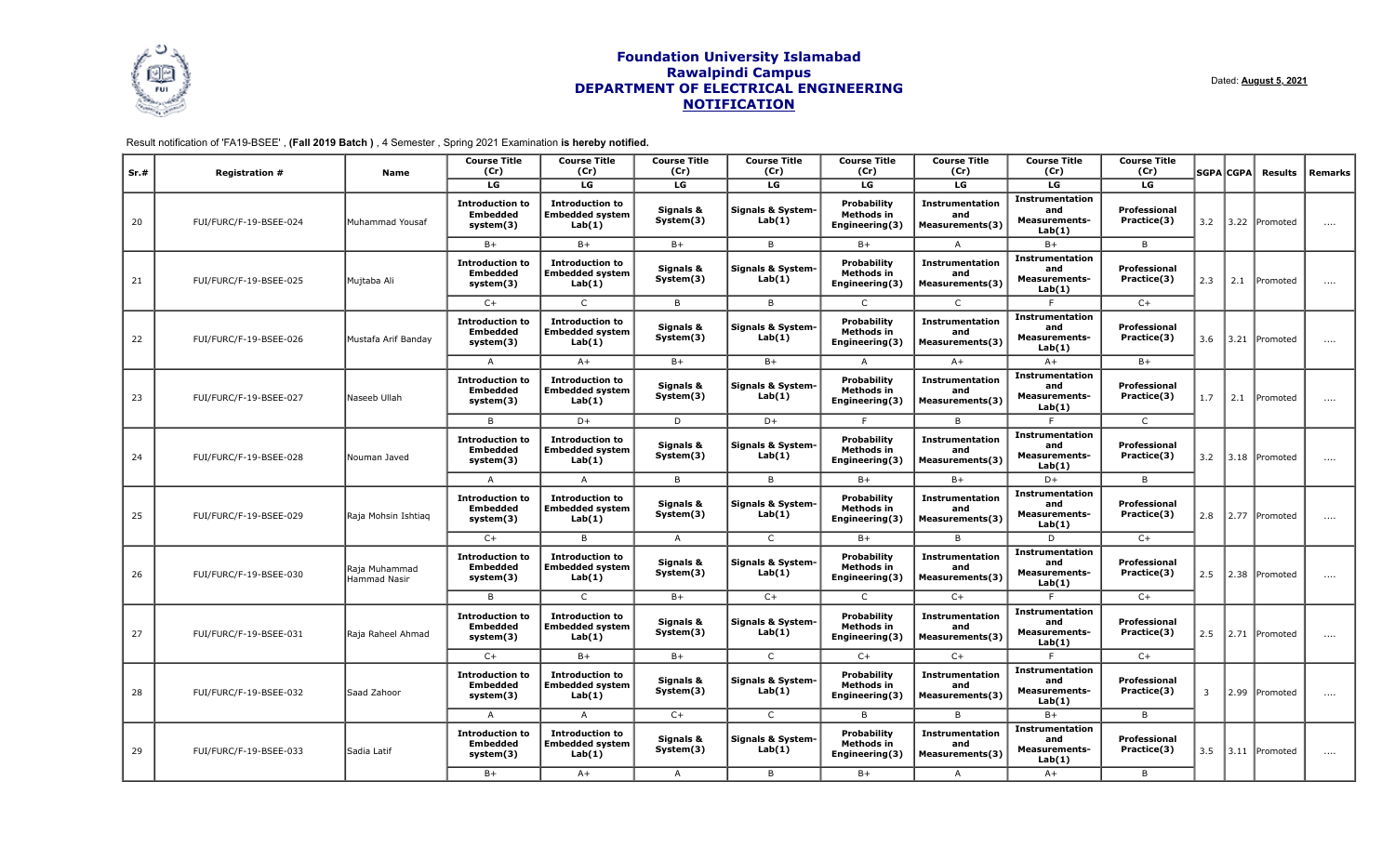

Dated: **August 5, 2021**

Result notification of 'FA19-BSEE' , **(Fall 2019 Batch )** , 4 Semester , Spring 2021 Examination **is hereby notified.**

| Sr.# | <b>Registration #</b>  | Name                          | <b>Course Title</b><br>(Cr)                            | <b>Course Title</b><br>(Cr)                                | <b>Course Title</b><br>(Cr) | <b>Course Title</b><br>(Cr)            | <b>Course Title</b><br>(Cr)                               | <b>Course Title</b><br>(Cr)                      | <b>Course Title</b><br>(Cr)                                     | <b>Course Title</b><br>(Cr) |      | <b>SGPA</b> CGPA | Results         | Remarks  |  |  |  |  |
|------|------------------------|-------------------------------|--------------------------------------------------------|------------------------------------------------------------|-----------------------------|----------------------------------------|-----------------------------------------------------------|--------------------------------------------------|-----------------------------------------------------------------|-----------------------------|------|------------------|-----------------|----------|--|--|--|--|
|      |                        |                               | LG                                                     | LG                                                         | LG                          | LG                                     | LG                                                        | LG                                               | LG                                                              | LG                          |      |                  |                 |          |  |  |  |  |
| 20   | FUI/FURC/F-19-BSEE-024 | Muhammad Yousaf               | <b>Introduction to</b><br><b>Embedded</b><br>system(3) | <b>Introduction to</b><br><b>Embedded system</b><br>Lab(1) | Signals &<br>System(3)      | <b>Signals &amp; System-</b><br>Lab(1) | <b>Probability</b><br>Methods in<br>Engineering(3)        | <b>Instrumentation</b><br>and<br>Measurements(3) | <b>Instrumentation</b><br>and<br><b>Measurements-</b><br>Lab(1) | Professional<br>Practice(3) | 3.2  | $ 3.22\rangle$   | Promoted        | $\cdots$ |  |  |  |  |
|      |                        |                               | $B+$                                                   | $B+$                                                       | $B+$                        | B                                      | $B+$                                                      | A                                                | $B+$                                                            | B                           |      |                  |                 |          |  |  |  |  |
| 21   | FUI/FURC/F-19-BSEE-025 | Mujtaba Ali                   | <b>Introduction to</b><br><b>Embedded</b><br>system(3) | <b>Introduction to</b><br><b>Embedded system</b><br>Lab(1) | Signals &<br>System(3)      | <b>Signals &amp; System-</b><br>Lab(1) | <b>Probability</b><br>Methods in<br>Engineering(3)        | <b>Instrumentation</b><br>and<br>Measurements(3) | <b>Instrumentation</b><br>and<br><b>Measurements-</b><br>Lab(1) | Professional<br>Practice(3) | 2.3  | 2.1              | Promoted        | $\cdots$ |  |  |  |  |
|      |                        |                               | $C+$                                                   | $\mathsf{C}$                                               | B                           | B                                      | $\mathsf{C}$                                              | $\mathsf{C}$                                     | E                                                               | $C+$                        |      |                  |                 |          |  |  |  |  |
| 22   | FUI/FURC/F-19-BSEE-026 | Mustafa Arif Banday           | <b>Introduction to</b><br><b>Embedded</b><br>system(3) | <b>Introduction to</b><br><b>Embedded system</b><br>Lab(1) | Signals &<br>System(3)      | <b>Signals &amp; System-</b><br>Lab(1) | <b>Probability</b><br><b>Methods in</b><br>Engineering(3) | <b>Instrumentation</b><br>and<br>Measurements(3) | <b>Instrumentation</b><br>and<br><b>Measurements-</b><br>Lab(1) | Professional<br>Practice(3) | 3.6  | 3.21             | Promoted        | $\cdots$ |  |  |  |  |
|      |                        |                               | $\overline{A}$                                         | $A+$                                                       | $B+$                        | $B+$                                   |                                                           | $A+$                                             | $A+$                                                            | $B+$                        |      |                  |                 |          |  |  |  |  |
| 23   | FUI/FURC/F-19-BSEE-027 | Naseeb Ullah                  | <b>Introduction to</b><br><b>Embedded</b><br>system(3) | <b>Introduction to</b><br><b>Embedded system</b><br>Lab(1) | Signals &<br>System(3)      | Signals & System-<br>Lab(1)            | <b>Probability</b><br>Methods in<br>Engineering(3)        | <b>Instrumentation</b><br>and<br>Measurements(3) | <b>Instrumentation</b><br>and<br><b>Measurements-</b><br>Lab(1) | Professional<br>Practice(3) | 1.7  | 2.1              | Promoted        | $\cdots$ |  |  |  |  |
|      |                        |                               | B                                                      | $D+$                                                       | D                           | $D+$                                   | E                                                         | $\overline{B}$                                   | E                                                               | $\mathsf{C}$                |      |                  |                 |          |  |  |  |  |
| 24   | FUI/FURC/F-19-BSEE-028 | Nouman Javed                  | <b>Introduction to</b><br><b>Embedded</b><br>system(3) | <b>Introduction to</b><br><b>Embedded system</b><br>Lab(1) | Signals &<br>System(3)      | Signals & System-<br>Lab(1)            | <b>Probability</b><br>Methods in<br>Engineering(3)        | <b>Instrumentation</b><br>and<br>Measurements(3) | <b>Instrumentation</b><br>and<br><b>Measurements-</b><br>Lab(1) | Professional<br>Practice(3) | 3.2  | 3.18             | <b>Promoted</b> | $\cdots$ |  |  |  |  |
|      |                        |                               | $\overline{A}$                                         | $\mathsf{A}$                                               | B                           | B                                      | $B+$                                                      | $B+$                                             | D+                                                              | B                           |      |                  |                 |          |  |  |  |  |
| 25   | FUI/FURC/F-19-BSEE-029 | Raja Mohsin Ishtiag           | <b>Introduction to</b><br><b>Embedded</b><br>system(3) | <b>Introduction to</b><br><b>Embedded system</b><br>Lab(1) | Signals &<br>System(3)      | <b>Signals &amp; System-</b><br>Lab(1) | <b>Probability</b><br>Methods in<br>Engineering(3)        | Instrumentation<br>and<br>Measurements(3)        | Instrumentation<br>and<br><b>Measurements-</b><br>Lab(1)        | Professional<br>Practice(3) | 2.8  |                  | 2.77 Promoted   | $\cdots$ |  |  |  |  |
|      |                        |                               | $C+$                                                   | B                                                          | $\overline{A}$              | $\mathsf{C}$                           | $B+$                                                      | $\overline{B}$                                   | D                                                               | $C+$                        |      |                  |                 |          |  |  |  |  |
| 26   | FUI/FURC/F-19-BSEE-030 | Raja Muhammad<br>Hammad Nasir | <b>Introduction to</b><br><b>Embedded</b><br>system(3) | <b>Introduction to</b><br><b>Embedded system</b><br>Lab(1) | Signals &<br>System(3)      | <b>Signals &amp; System-</b><br>Lab(1) | <b>Probability</b><br>Methods in<br>Engineering(3)        | <b>Instrumentation</b><br>and<br>Measurements(3) | <b>Instrumentation</b><br>and<br><b>Measurements-</b><br>Lab(1) | Professional<br>Practice(3) | 2.5  | $ 2.38\rangle$   | Promoted        | $\cdots$ |  |  |  |  |
|      |                        |                               | B                                                      | $\mathsf{C}$                                               | $B+$                        | $C+$                                   | $\mathsf{C}$                                              | $C+$                                             |                                                                 | $C+$                        |      |                  |                 |          |  |  |  |  |
| 27   | FUI/FURC/F-19-BSEE-031 | Raja Raheel Ahmad             | <b>Introduction to</b><br><b>Embedded</b><br>system(3) | <b>Introduction to</b><br><b>Embedded system</b><br>Lab(1) | Signals &<br>System(3)      | <b>Signals &amp; System-</b><br>Lab(1) | Probability<br>Methods in<br>Engineering(3)               | Instrumentation<br>and<br>Measurements(3)        | <b>Instrumentation</b><br>and<br><b>Measurements-</b><br>Lab(1) | Professional<br>Practice(3) | 2.5  |                  | 2.71 Promoted   | $\cdots$ |  |  |  |  |
|      |                        |                               | $C+$                                                   | $B+$                                                       | $B+$                        | $\mathsf{C}$                           | $C+$                                                      | $C+$                                             |                                                                 | $C+$                        |      |                  |                 |          |  |  |  |  |
| 28   | FUI/FURC/F-19-BSEE-032 | Saad Zahoor                   | <b>Introduction to</b><br><b>Embedded</b><br>system(3) | <b>Introduction to</b><br><b>Embedded system</b><br>Lab(1) | Signals &<br>System(3)      | <b>Signals &amp; System-</b><br>Lab(1) | <b>Probability</b><br>Methods in<br>Engineering(3)        | Instrumentation<br>and<br>Measurements(3)        | <b>Instrumentation</b><br>and<br><b>Measurements-</b><br>Lab(1) | Professional<br>Practice(3) | 3    | 2.99             | <b>Promoted</b> | $\cdots$ |  |  |  |  |
|      |                        |                               | $\overline{A}$                                         | $\overline{A}$                                             | $C+$                        | $\mathsf{C}$                           | B.                                                        | B.                                               | $B+$                                                            | B                           |      |                  |                 |          |  |  |  |  |
| 29   | FUI/FURC/F-19-BSEE-033 | Sadia Latif                   | <b>Introduction to</b><br><b>Embedded</b><br>system(3) | <b>Introduction to</b><br><b>Embedded system</b><br>Lab(1) | Signals &<br>System(3)      | <b>Signals &amp; System-</b><br>Lab(1) | Probability<br>Methods in<br>Engineering(3)               | Instrumentation<br>and<br>Measurements(3)        | <b>Instrumentation</b><br>and<br><b>Measurements-</b><br>Lab(1) | Professional<br>Practice(3) | 3.5  |                  | 3.11 Promoted   | $\cdots$ |  |  |  |  |
|      |                        |                               |                                                        |                                                            |                             |                                        | $B+$                                                      | $A+$                                             | $\overline{A}$                                                  | B                           | $B+$ | $\overline{A}$   | $A+$            | B        |  |  |  |  |